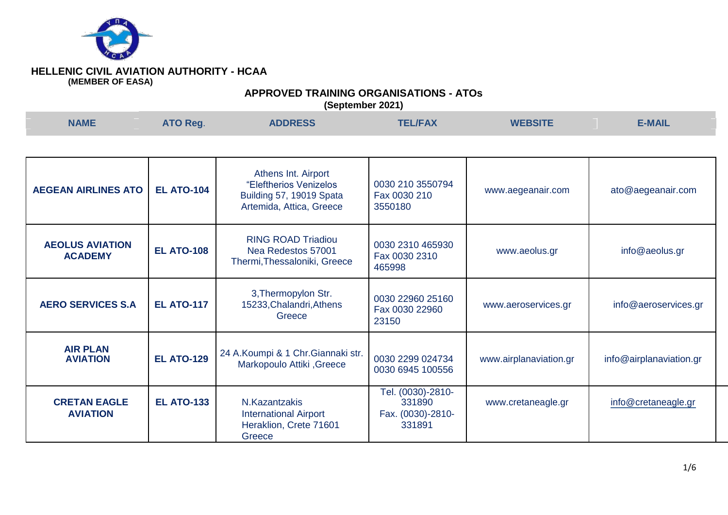

# **APPROVED TRAINING ORGANISATIONS - ATOs**

| <b>NAME</b>                              | ATO Reg.          | <b>ADDRESS</b>                                                                                        | <b>TEL/FAX</b>                                             | <b>WEBSITE</b>         | <b>E-MAIL</b>           |
|------------------------------------------|-------------------|-------------------------------------------------------------------------------------------------------|------------------------------------------------------------|------------------------|-------------------------|
|                                          |                   |                                                                                                       |                                                            |                        |                         |
| <b>AEGEAN AIRLINES ATO</b>               | <b>EL ATO-104</b> | Athens Int. Airport<br>"Eleftherios Venizelos<br>Building 57, 19019 Spata<br>Artemida, Attica, Greece | 0030 210 3550794<br>Fax 0030 210<br>3550180                | www.aegeanair.com      | ato@aegeanair.com       |
| <b>AEOLUS AVIATION</b><br><b>ACADEMY</b> | <b>EL ATO-108</b> | <b>RING ROAD Triadiou</b><br>Nea Redestos 57001<br>Thermi, Thessaloniki, Greece                       | 0030 2310 465930<br>Fax 0030 2310<br>465998                | www.aeolus.gr          | info@aeolus.gr          |
| <b>AERO SERVICES S.A</b>                 | <b>EL ATO-117</b> | 3, Thermopylon Str.<br>15233, Chalandri, Athens<br>Greece                                             | 0030 22960 25160<br>Fax 0030 22960<br>23150                | www.aeroservices.gr    | info@aeroservices.gr    |
| <b>AIR PLAN</b><br><b>AVIATION</b>       | <b>EL ATO-129</b> | 24 A.Koumpi & 1 Chr.Giannaki str.<br>Markopoulo Attiki, Greece                                        | 0030 2299 024734<br>0030 6945 100556                       | www.airplanaviation.gr | info@airplanaviation.gr |
| <b>CRETAN EAGLE</b><br><b>AVIATION</b>   | <b>EL ATO-133</b> | N.Kazantzakis<br><b>International Airport</b><br>Heraklion, Crete 71601<br>Greece                     | Tel. (0030)-2810-<br>331890<br>Fax. (0030)-2810-<br>331891 | www.cretaneagle.gr     | info@cretaneagle.gr     |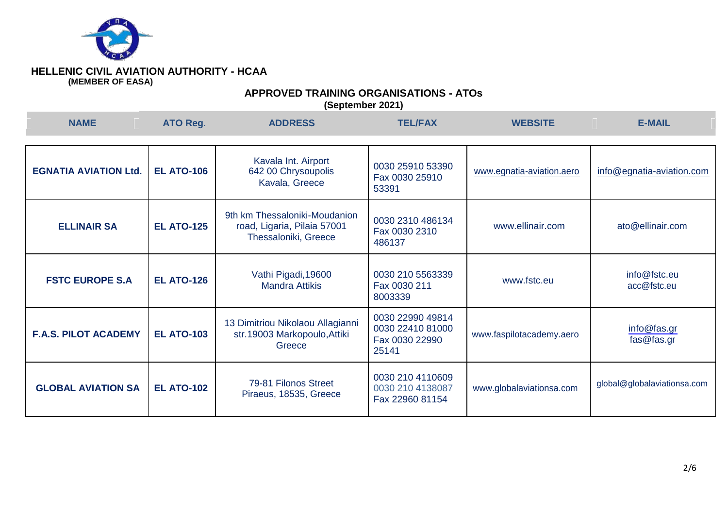

# **APPROVED TRAINING ORGANISATIONS - ATOs**

| <b>NAME</b>                  | ATO Reg.          | <b>ADDRESS</b>                                                                       | <b>TEL/FAX</b>                                                  | <b>WEBSITE</b>            | <b>E-MAIL</b>               |
|------------------------------|-------------------|--------------------------------------------------------------------------------------|-----------------------------------------------------------------|---------------------------|-----------------------------|
| <b>EGNATIA AVIATION Ltd.</b> | <b>EL ATO-106</b> | Kavala Int. Airport<br>642 00 Chrysoupolis<br>Kavala, Greece                         | 0030 25910 53390<br>Fax 0030 25910<br>53391                     | www.egnatia-aviation.aero | info@egnatia-aviation.com   |
| <b>ELLINAIR SA</b>           | <b>EL ATO-125</b> | 9th km Thessaloniki-Moudanion<br>road, Ligaria, Pilaia 57001<br>Thessaloniki, Greece | 0030 2310 486134<br>Fax 0030 2310<br>486137                     | www.ellinair.com          | ato@ellinair.com            |
| <b>FSTC EUROPE S.A</b>       | <b>EL ATO-126</b> | Vathi Pigadi, 19600<br><b>Mandra Attikis</b>                                         | 0030 210 5563339<br>Fax 0030 211<br>8003339                     | www.fstc.eu               | info@fstc.eu<br>acc@fstc.eu |
| <b>F.A.S. PILOT ACADEMY</b>  | <b>EL ATO-103</b> | 13 Dimitriou Nikolaou Allagianni<br>str.19003 Markopoulo, Attiki<br>Greece           | 0030 22990 49814<br>0030 22410 81000<br>Fax 0030 22990<br>25141 | www.faspilotacademy.aero  | info@fas.gr<br>fas@fas.gr   |
| <b>GLOBAL AVIATION SA</b>    | <b>EL ATO-102</b> | 79-81 Filonos Street<br>Piraeus, 18535, Greece                                       | 0030 210 4110609<br>0030 210 4138087<br>Fax 22960 81154         | www.globalaviationsa.com  | global@globalaviationsa.com |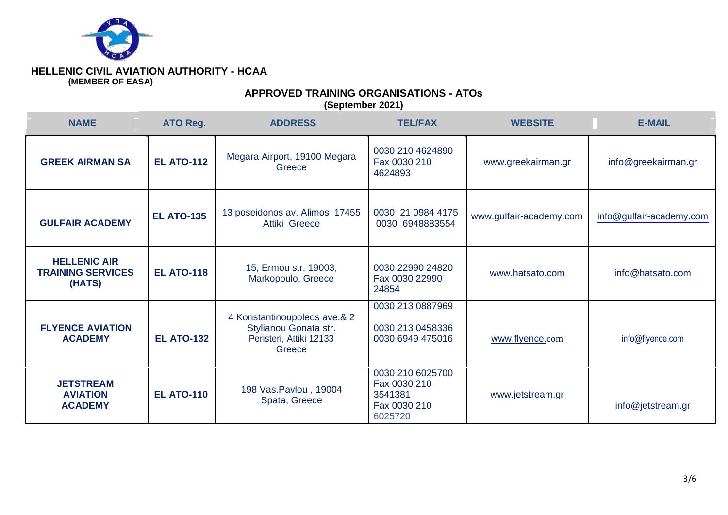

## **APPROVED TRAINING ORGANISATIONS - ATOs**

| <b>NAME</b>                                               | ATO Reg.          | <b>ADDRESS</b>                                                                             | <b>TEL/FAX</b>                                                         | <b>WEBSITE</b>          | <b>E-MAIL</b>            |
|-----------------------------------------------------------|-------------------|--------------------------------------------------------------------------------------------|------------------------------------------------------------------------|-------------------------|--------------------------|
| <b>GREEK AIRMAN SA</b>                                    | <b>EL ATO-112</b> | Megara Airport, 19100 Megara<br>Greece                                                     | 0030 210 4624890<br>Fax 0030 210<br>4624893                            | www.greekairman.gr      | info@greekairman.gr      |
| <b>GULFAIR ACADEMY</b>                                    | <b>EL ATO-135</b> | 13 poseidonos av. Alimos 17455<br>Attiki Greece                                            | 0030 21 0984 4175<br>0030 6948883554                                   | www.gulfair-academy.com | info@gulfair-academy.com |
| <b>HELLENIC AIR</b><br><b>TRAINING SERVICES</b><br>(HATS) | <b>EL ATO-118</b> | 15, Ermou str. 19003,<br>Markopoulo, Greece                                                | 0030 22990 24820<br>Fax 0030 22990<br>24854                            | www.hatsato.com         | info@hatsato.com         |
| <b>FLYENCE AVIATION</b><br><b>ACADEMY</b>                 | <b>EL ATO-132</b> | 4 Konstantinoupoleos ave.& 2<br>Stylianou Gonata str.<br>Peristeri, Attiki 12133<br>Greece | 0030 213 0887969<br>0030 213 0458336<br>0030 6949 475016               | www.flyence.com         | info@flyence.com         |
| <b>JETSTREAM</b><br><b>AVIATION</b><br><b>ACADEMY</b>     | <b>EL ATO-110</b> | 198 Vas. Pavlou, 19004<br>Spata, Greece                                                    | 0030 210 6025700<br>Fax 0030 210<br>3541381<br>Fax 0030 210<br>6025720 | www.jetstream.gr        | info@jetstream.gr        |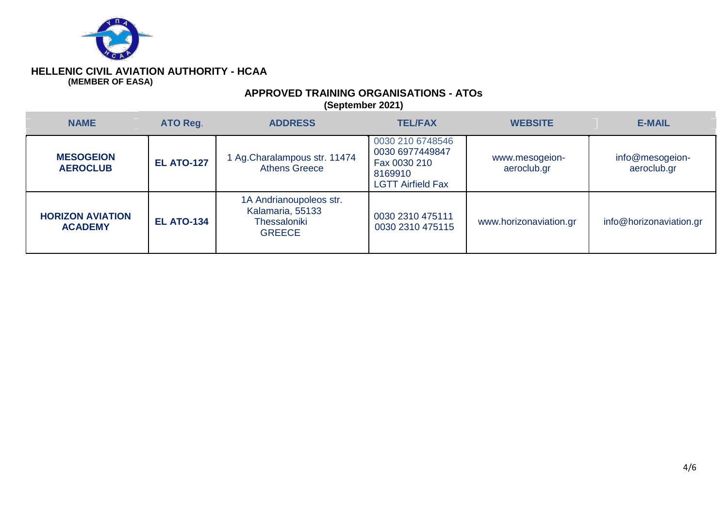

## **APPROVED TRAINING ORGANISATIONS - ATOs**

| <b>NAME</b>                               | ATO Reg.          | <b>ADDRESS</b>                                                               | <b>TEL/FAX</b>                                                                             | <b>WEBSITE</b>                | <b>E-MAIL</b>                  |
|-------------------------------------------|-------------------|------------------------------------------------------------------------------|--------------------------------------------------------------------------------------------|-------------------------------|--------------------------------|
| <b>MESOGEION</b><br><b>AEROCLUB</b>       | <b>EL ATO-127</b> | 1 Ag. Charalampous str. 11474<br><b>Athens Greece</b>                        | 0030 210 6748546<br>0030 6977449847<br>Fax 0030 210<br>8169910<br><b>LGTT Airfield Fax</b> | www.mesogeion-<br>aeroclub.gr | info@mesogeion-<br>aeroclub.gr |
| <b>HORIZON AVIATION</b><br><b>ACADEMY</b> | <b>EL ATO-134</b> | 1A Andrianoupoleos str.<br>Kalamaria, 55133<br>Thessaloniki<br><b>GREECE</b> | 0030 2310 475111<br>0030 2310 475115                                                       | www.horizonaviation.gr        | info@horizonaviation.gr        |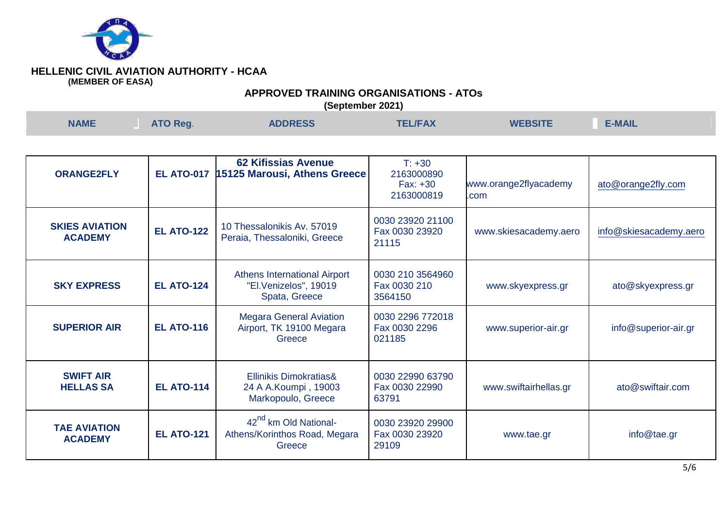

# **APPROVED TRAINING ORGANISATIONS - ATOs**

| <b>NAME</b> | <b>ATO Reg.</b> | <b>ADDRESS</b> | <b>TEL/FAX</b> | <b>WEBSITE</b> | <b>E-MAIL</b> |  |
|-------------|-----------------|----------------|----------------|----------------|---------------|--|
|             |                 |                |                |                |               |  |

| <b>ORANGE2FLY</b>                       | <b>EL ATO-017</b> | <b>62 Kifissias Avenue</b><br><b>15125 Marousi, Athens Greece</b>             | $T: +30$<br>2163000890<br>$Fax: +30$<br>2163000819 | www.orange2flyacademy<br>.com | ato@orange2fly.com     |
|-----------------------------------------|-------------------|-------------------------------------------------------------------------------|----------------------------------------------------|-------------------------------|------------------------|
| <b>SKIES AVIATION</b><br><b>ACADEMY</b> | <b>EL ATO-122</b> | 10 Thessalonikis Av. 57019<br>Peraia, Thessaloniki, Greece                    | 0030 23920 21100<br>Fax 0030 23920<br>21115        | www.skiesacademy.aero         | info@skiesacademy.aero |
| <b>SKY EXPRESS</b>                      | <b>EL ATO-124</b> | <b>Athens International Airport</b><br>"El.Venizelos", 19019<br>Spata, Greece | 0030 210 3564960<br>Fax 0030 210<br>3564150        | www.skyexpress.gr             | ato@skyexpress.gr      |
| <b>SUPERIOR AIR</b>                     | <b>EL ATO-116</b> | <b>Megara General Aviation</b><br>Airport, TK 19100 Megara<br>Greece          | 0030 2296 772018<br>Fax 0030 2296<br>021185        | www.superior-air.gr           | info@superior-air.gr   |
| <b>SWIFT AIR</b><br><b>HELLAS SA</b>    | <b>EL ATO-114</b> | Ellinikis Dimokratias&<br>24 A A.Koumpi, 19003<br>Markopoulo, Greece          | 0030 22990 63790<br>Fax 0030 22990<br>63791        | www.swiftairhellas.gr         | ato@swiftair.com       |
| <b>TAE AVIATION</b><br><b>ACADEMY</b>   | <b>EL ATO-121</b> | 42 <sup>nd</sup> km Old National-<br>Athens/Korinthos Road, Megara<br>Greece  | 0030 23920 29900<br>Fax 0030 23920<br>29109        | www.tae.gr                    | info@tae.gr            |